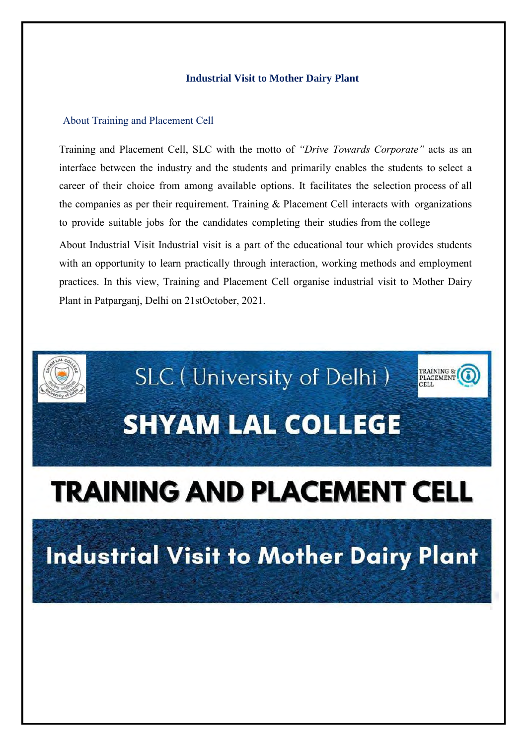#### **Industrial Visit to Mother Dairy Plant**

### About Training and Placement Cell

Training and Placement Cell, SLC with the motto of *"Drive Towards Corporate"* acts as an interface between the industry and the students and primarily enables the students to select a career of their choice from among available options. It facilitates the selection process of all the companies as per their requirement. Training & Placement Cell interacts with organizations to provide suitable jobs for the candidates completing their studies from the college

About Industrial Visit Industrial visit is a part of the educational tour which provides students with an opportunity to learn practically through interaction, working methods and employment practices. In this view, Training and Placement Cell organise industrial visit to Mother Dairy Plant in Patparganj, Delhi on 21stOctober, 2021.

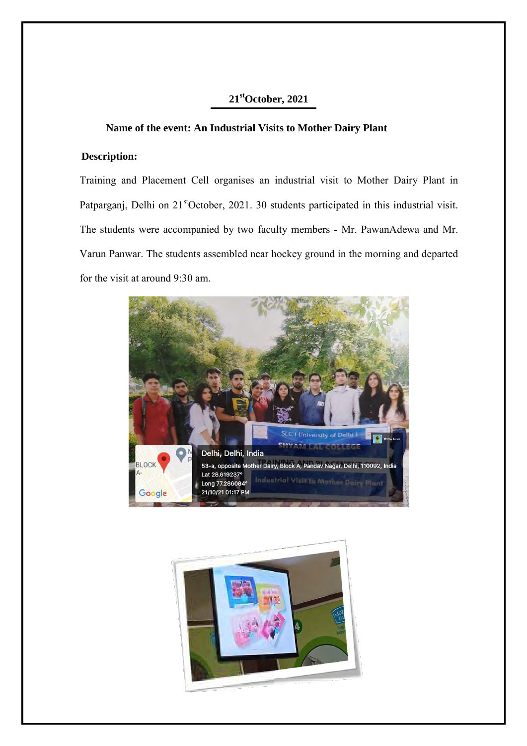# **21stOctober, 2021**

## **Name of the event: An Industrial Visits to Mother Dairy Plant**

## **Description:**

Training and Placement Cell organises an industrial visit to Mother Dairy Plant in Patparganj, Delhi on 21<sup>st</sup>October, 2021. 30 students participated in this industrial visit. The students were accompanied by two faculty members - Mr. PawanAdewa and Mr. Varun Panwar. The students assembled near hockey ground in the morning and departed for the visit at around 9:30 am.



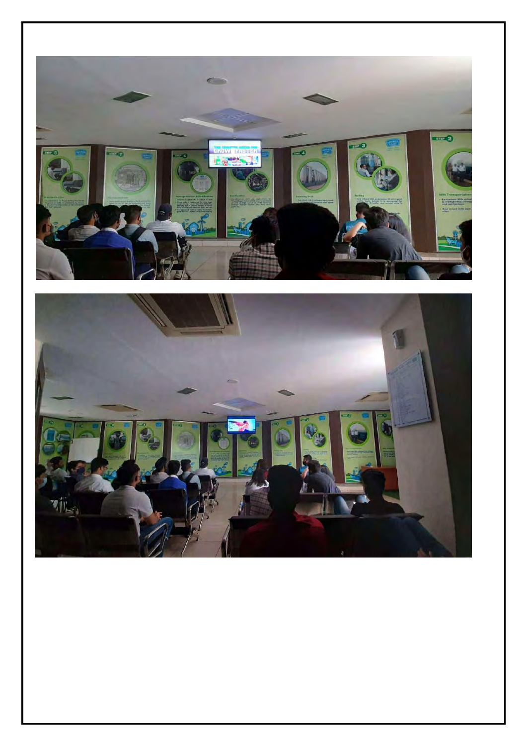